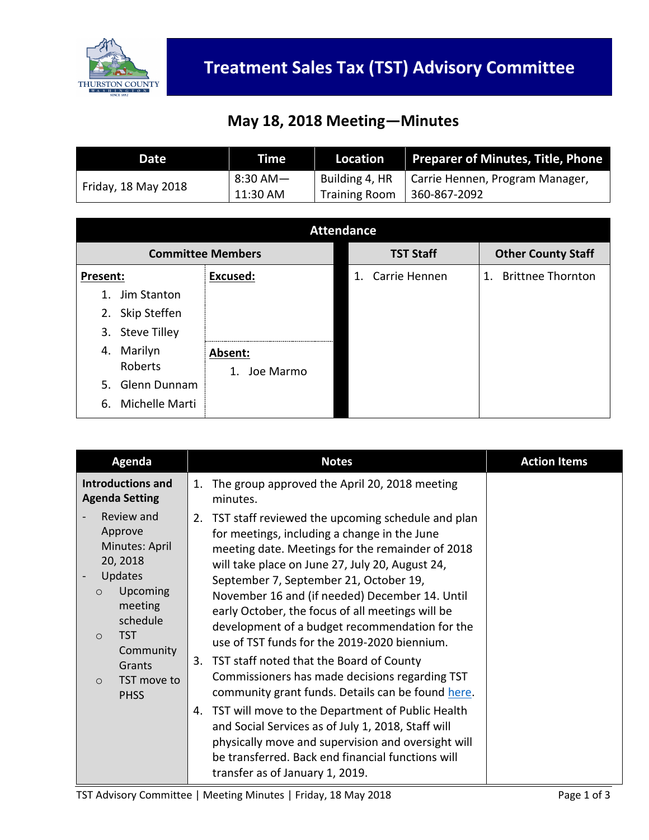

## **May 18, 2018 Meeting—Minutes**

| Date                | Time l   | Location             | Preparer of Minutes, Title, Phone |
|---------------------|----------|----------------------|-----------------------------------|
| Friday, 18 May 2018 | 8:30 AM— | Building 4, HR       | Carrie Hennen, Program Manager,   |
|                     | 11:30 AM | <b>Training Room</b> | 360-867-2092                      |

| <b>Attendance</b>         |                 |                  |                           |  |  |
|---------------------------|-----------------|------------------|---------------------------|--|--|
| <b>Committee Members</b>  |                 | <b>TST Staff</b> | <b>Other County Staff</b> |  |  |
| Present:                  | <b>Excused:</b> | 1. Carrie Hennen | 1. Brittnee Thornton      |  |  |
| Jim Stanton<br>1.         |                 |                  |                           |  |  |
| Skip Steffen<br>2.        |                 |                  |                           |  |  |
| <b>Steve Tilley</b><br>3. |                 |                  |                           |  |  |
| Marilyn<br>4.             | Absent:         |                  |                           |  |  |
| Roberts                   | Joe Marmo<br>1. |                  |                           |  |  |
| Glenn Dunnam<br>5.        |                 |                  |                           |  |  |
| Michelle Marti<br>6.      |                 |                  |                           |  |  |

| Agenda                                                                                                                                              | <b>Notes</b>                                                                                                                                                                                                                                                                                                                                                                                                                                                     | <b>Action Items</b> |
|-----------------------------------------------------------------------------------------------------------------------------------------------------|------------------------------------------------------------------------------------------------------------------------------------------------------------------------------------------------------------------------------------------------------------------------------------------------------------------------------------------------------------------------------------------------------------------------------------------------------------------|---------------------|
| Introductions and<br><b>Agenda Setting</b>                                                                                                          | The group approved the April 20, 2018 meeting<br>1.<br>minutes.                                                                                                                                                                                                                                                                                                                                                                                                  |                     |
| Review and<br>Approve<br>Minutes: April<br>20, 2018<br>Updates<br>Upcoming<br>$\circ$<br>meeting<br>schedule<br><b>TST</b><br>$\Omega$<br>Community | TST staff reviewed the upcoming schedule and plan<br>2.<br>for meetings, including a change in the June<br>meeting date. Meetings for the remainder of 2018<br>will take place on June 27, July 20, August 24,<br>September 7, September 21, October 19,<br>November 16 and (if needed) December 14. Until<br>early October, the focus of all meetings will be<br>development of a budget recommendation for the<br>use of TST funds for the 2019-2020 biennium. |                     |
| Grants<br>TST move to<br>$\Omega$<br><b>PHSS</b>                                                                                                    | TST staff noted that the Board of County<br>3.<br>Commissioners has made decisions regarding TST<br>community grant funds. Details can be found here.                                                                                                                                                                                                                                                                                                            |                     |
|                                                                                                                                                     | TST will move to the Department of Public Health<br>4.<br>and Social Services as of July 1, 2018, Staff will<br>physically move and supervision and oversight will<br>be transferred. Back end financial functions will<br>transfer as of January 1, 2019.                                                                                                                                                                                                       |                     |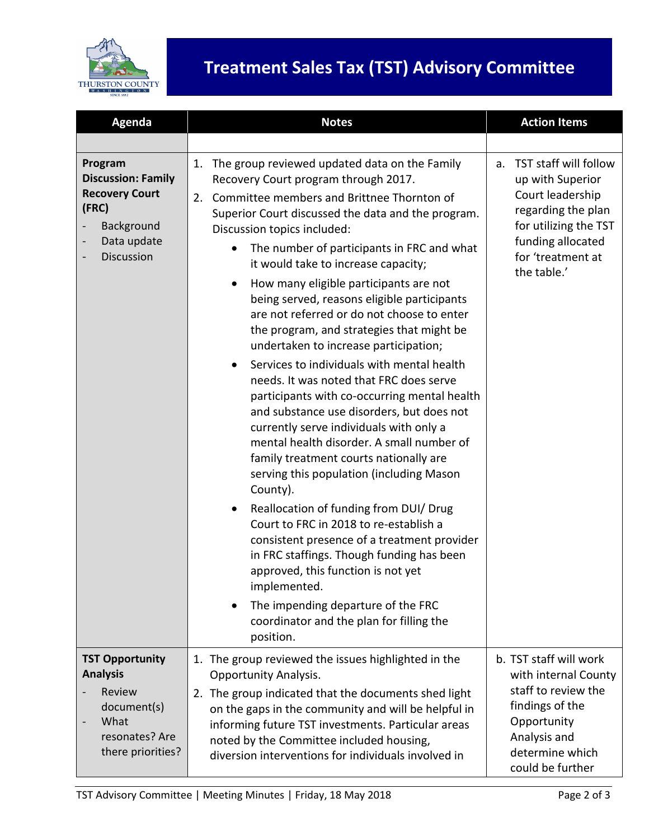

## **Treatment Sales Tax (TST) Advisory Committee**

| Agenda                                                                                                            | <b>Notes</b>                                                                                                                                                                                                                                                                                                                                                                                                                                                                                                                                                                                                                                                                                                                                                                                                                                                                                                                                                                                                                                                                                                                                                                                                                                                                                                       | <b>Action Items</b>                                                                                                                                                         |
|-------------------------------------------------------------------------------------------------------------------|--------------------------------------------------------------------------------------------------------------------------------------------------------------------------------------------------------------------------------------------------------------------------------------------------------------------------------------------------------------------------------------------------------------------------------------------------------------------------------------------------------------------------------------------------------------------------------------------------------------------------------------------------------------------------------------------------------------------------------------------------------------------------------------------------------------------------------------------------------------------------------------------------------------------------------------------------------------------------------------------------------------------------------------------------------------------------------------------------------------------------------------------------------------------------------------------------------------------------------------------------------------------------------------------------------------------|-----------------------------------------------------------------------------------------------------------------------------------------------------------------------------|
|                                                                                                                   |                                                                                                                                                                                                                                                                                                                                                                                                                                                                                                                                                                                                                                                                                                                                                                                                                                                                                                                                                                                                                                                                                                                                                                                                                                                                                                                    |                                                                                                                                                                             |
| Program<br><b>Discussion: Family</b><br><b>Recovery Court</b><br>(FRC)<br>Background<br>Data update<br>Discussion | The group reviewed updated data on the Family<br>1.<br>Recovery Court program through 2017.<br>Committee members and Brittnee Thornton of<br>2.<br>Superior Court discussed the data and the program.<br>Discussion topics included:<br>The number of participants in FRC and what<br>it would take to increase capacity;<br>How many eligible participants are not<br>$\bullet$<br>being served, reasons eligible participants<br>are not referred or do not choose to enter<br>the program, and strategies that might be<br>undertaken to increase participation;<br>Services to individuals with mental health<br>$\bullet$<br>needs. It was noted that FRC does serve<br>participants with co-occurring mental health<br>and substance use disorders, but does not<br>currently serve individuals with only a<br>mental health disorder. A small number of<br>family treatment courts nationally are<br>serving this population (including Mason<br>County).<br>Reallocation of funding from DUI/ Drug<br>$\bullet$<br>Court to FRC in 2018 to re-establish a<br>consistent presence of a treatment provider<br>in FRC staffings. Though funding has been<br>approved, this function is not yet<br>implemented.<br>The impending departure of the FRC<br>coordinator and the plan for filling the<br>position. | TST staff will follow<br>a.<br>up with Superior<br>Court leadership<br>regarding the plan<br>for utilizing the TST<br>funding allocated<br>for 'treatment at<br>the table.' |
| <b>TST Opportunity</b><br><b>Analysis</b><br>Review<br>document(s)<br>What<br>resonates? Are<br>there priorities? | 1. The group reviewed the issues highlighted in the<br><b>Opportunity Analysis.</b><br>2. The group indicated that the documents shed light<br>on the gaps in the community and will be helpful in<br>informing future TST investments. Particular areas                                                                                                                                                                                                                                                                                                                                                                                                                                                                                                                                                                                                                                                                                                                                                                                                                                                                                                                                                                                                                                                           | b. TST staff will work<br>with internal County<br>staff to review the<br>findings of the<br>Opportunity                                                                     |
|                                                                                                                   | noted by the Committee included housing,<br>diversion interventions for individuals involved in                                                                                                                                                                                                                                                                                                                                                                                                                                                                                                                                                                                                                                                                                                                                                                                                                                                                                                                                                                                                                                                                                                                                                                                                                    | Analysis and<br>determine which<br>could be further                                                                                                                         |